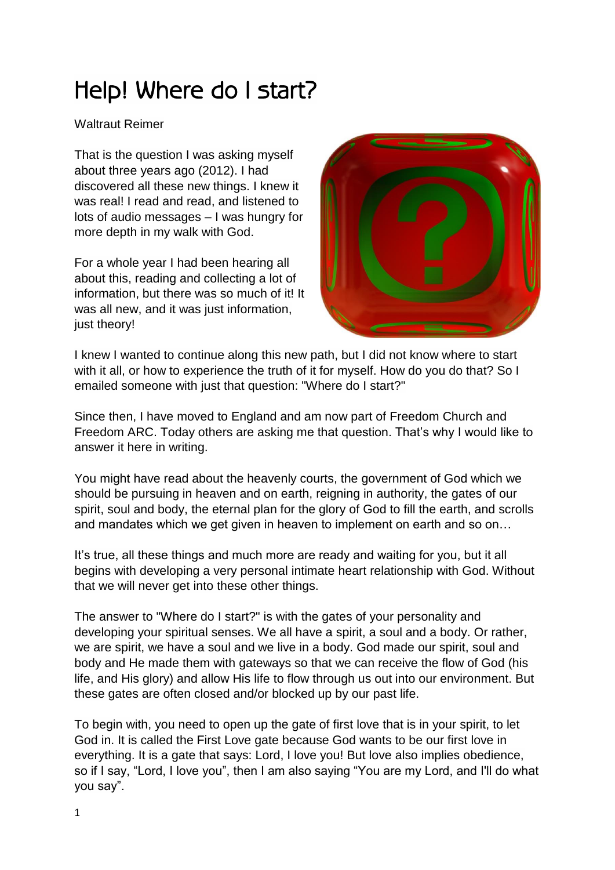## Help! Where do I start?

## Waltraut Reimer

That is the question I was asking myself about three years ago (2012). I had discovered all these new things. I knew it was real! I read and read, and listened to lots of audio messages – I was hungry for more depth in my walk with God.

For a whole year I had been hearing all about this, reading and collecting a lot of information, but there was so much of it! It was all new, and it was just information, just theory!



I knew I wanted to continue along this new path, but I did not know where to start with it all, or how to experience the truth of it for myself. How do you do that? So I emailed someone with just that question: "Where do I start?"

Since then, I have moved to England and am now part of Freedom Church and Freedom ARC. Today others are asking me that question. That's why I would like to answer it here in writing.

You might have read about the heavenly courts, the government of God which we should be pursuing in heaven and on earth, reigning in authority, the gates of our spirit, soul and body, the eternal plan for the glory of God to fill the earth, and scrolls and mandates which we get given in heaven to implement on earth and so on…

It's true, all these things and much more are ready and waiting for you, but it all begins with developing a very personal intimate heart relationship with God. Without that we will never get into these other things.

The answer to "Where do I start?" is with the gates of your personality and developing your spiritual senses. We all have a spirit, a soul and a body. Or rather, we are spirit, we have a soul and we live in a body. God made our spirit, soul and body and He made them with gateways so that we can receive the flow of God (his life, and His glory) and allow His life to flow through us out into our environment. But these gates are often closed and/or blocked up by our past life.

To begin with, you need to open up the gate of first love that is in your spirit, to let God in. It is called the First Love gate because God wants to be our first love in everything. It is a gate that says: Lord, I love you! But love also implies obedience, so if I say, "Lord, I love you", then I am also saying "You are my Lord, and I'll do what you say".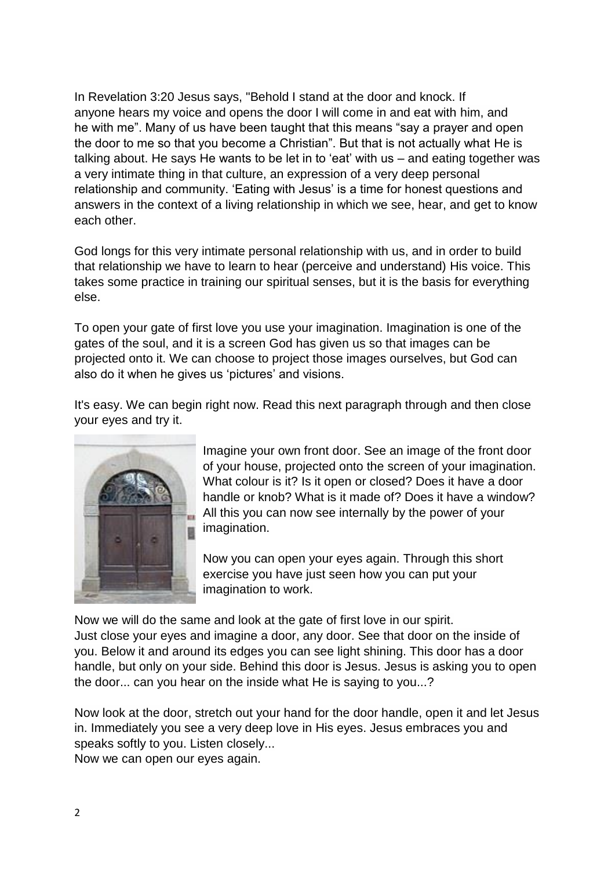In Revelation 3:20 Jesus says, "Behold I stand at the door and knock. If anyone hears my voice and opens the door I will come in and eat with him, and he with me". Many of us have been taught that this means "say a prayer and open the door to me so that you become a Christian". But that is not actually what He is talking about. He says He wants to be let in to 'eat' with us – and eating together was a very intimate thing in that culture, an expression of a very deep personal relationship and community. 'Eating with Jesus' is a time for honest questions and answers in the context of a living relationship in which we see, hear, and get to know each other.

God longs for this very intimate personal relationship with us, and in order to build that relationship we have to learn to hear (perceive and understand) His voice. This takes some practice in training our spiritual senses, but it is the basis for everything else.

To open your gate of first love you use your imagination. Imagination is one of the gates of the soul, and it is a screen God has given us so that images can be projected onto it. We can choose to project those images ourselves, but God can also do it when he gives us 'pictures' and visions.

It's easy. We can begin right now. Read this next paragraph through and then close your eyes and try it.



Imagine your own front door. See an image of the front door of your house, projected onto the screen of your imagination. What colour is it? Is it open or closed? Does it have a door handle or knob? What is it made of? Does it have a window? All this you can now see internally by the power of your imagination.

Now you can open your eyes again. Through this short exercise you have just seen how you can put your imagination to work.

Now we will do the same and look at the gate of first love in our spirit. Just close your eyes and imagine a door, any door. See that door on the inside of you. Below it and around its edges you can see light shining. This door has a door handle, but only on your side. Behind this door is Jesus. Jesus is asking you to open the door... can you hear on the inside what He is saying to you...?

Now look at the door, stretch out your hand for the door handle, open it and let Jesus in. Immediately you see a very deep love in His eyes. Jesus embraces you and speaks softly to you. Listen closely... Now we can open our eyes again.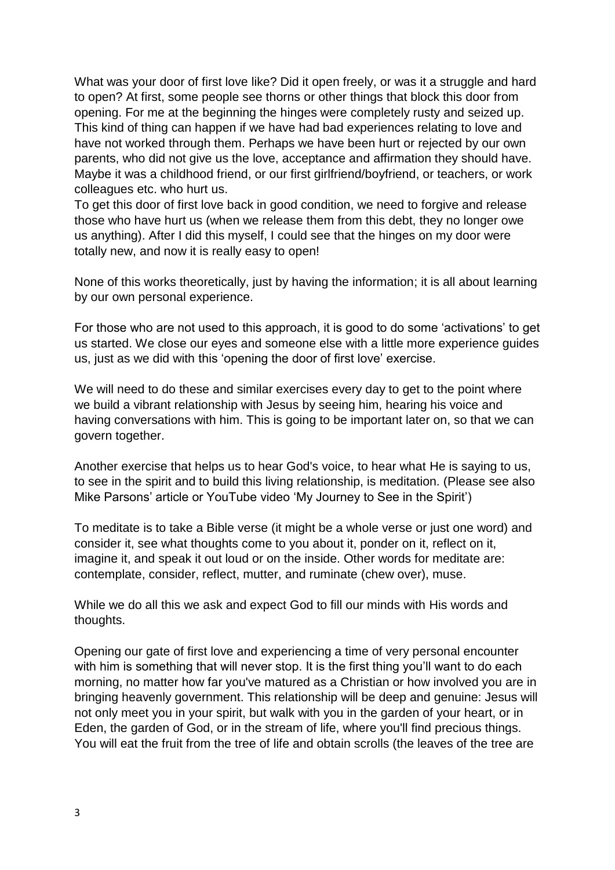What was your door of first love like? Did it open freely, or was it a struggle and hard to open? At first, some people see thorns or other things that block this door from opening. For me at the beginning the hinges were completely rusty and seized up. This kind of thing can happen if we have had bad experiences relating to love and have not worked through them. Perhaps we have been hurt or rejected by our own parents, who did not give us the love, acceptance and affirmation they should have. Maybe it was a childhood friend, or our first girlfriend/boyfriend, or teachers, or work colleagues etc. who hurt us.

To get this door of first love back in good condition, we need to forgive and release those who have hurt us (when we release them from this debt, they no longer owe us anything). After I did this myself, I could see that the hinges on my door were totally new, and now it is really easy to open!

None of this works theoretically, just by having the information; it is all about learning by our own personal experience.

For those who are not used to this approach, it is good to do some 'activations' to get us started. We close our eyes and someone else with a little more experience guides us, just as we did with this 'opening the door of first love' exercise.

We will need to do these and similar exercises every day to get to the point where we build a vibrant relationship with Jesus by seeing him, hearing his voice and having conversations with him. This is going to be important later on, so that we can govern together.

Another exercise that helps us to hear God's voice, to hear what He is saying to us, to see in the spirit and to build this living relationship, is meditation. (Please see also Mike Parsons' article or YouTube video 'My Journey to See in the Spirit')

To meditate is to take a Bible verse (it might be a whole verse or just one word) and consider it, see what thoughts come to you about it, ponder on it, reflect on it, imagine it, and speak it out loud or on the inside. Other words for meditate are: contemplate, consider, reflect, mutter, and ruminate (chew over), muse.

While we do all this we ask and expect God to fill our minds with His words and thoughts.

Opening our gate of first love and experiencing a time of very personal encounter with him is something that will never stop. It is the first thing you'll want to do each morning, no matter how far you've matured as a Christian or how involved you are in bringing heavenly government. This relationship will be deep and genuine: Jesus will not only meet you in your spirit, but walk with you in the garden of your heart, or in Eden, the garden of God, or in the stream of life, where you'll find precious things. You will eat the fruit from the tree of life and obtain scrolls (the leaves of the tree are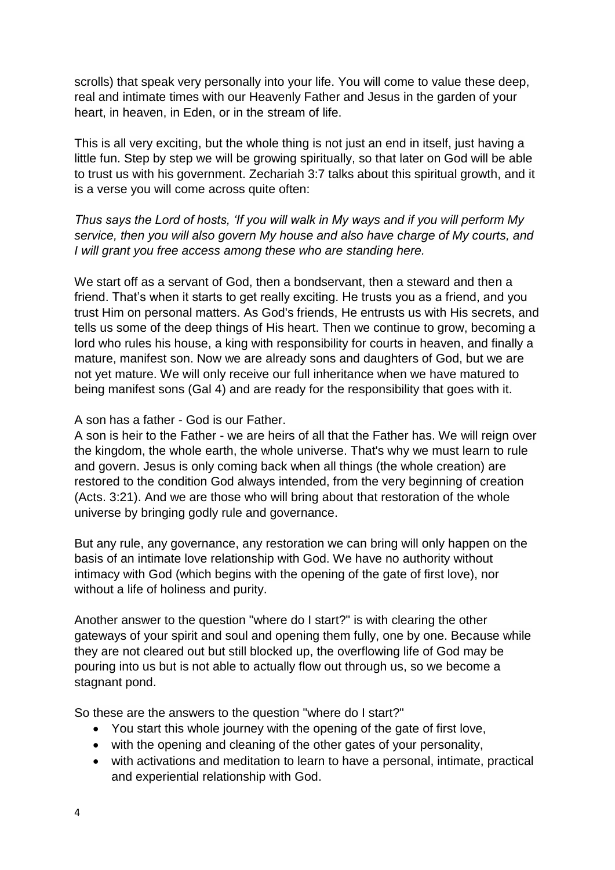scrolls) that speak very personally into your life. You will come to value these deep, real and intimate times with our Heavenly Father and Jesus in the garden of your heart, in heaven, in Eden, or in the stream of life.

This is all very exciting, but the whole thing is not just an end in itself, just having a little fun. Step by step we will be growing spiritually, so that later on God will be able to trust us with his government. Zechariah 3:7 talks about this spiritual growth, and it is a verse you will come across quite often:

*Thus says the Lord of hosts, 'If you will walk in My ways and if you will perform My service, then you will also govern My house and also have charge of My courts, and I will grant you free access among these who are standing here.*

We start off as a servant of God, then a bondservant, then a steward and then a friend. That's when it starts to get really exciting. He trusts you as a friend, and you trust Him on personal matters. As God's friends, He entrusts us with His secrets, and tells us some of the deep things of His heart. Then we continue to grow, becoming a lord who rules his house, a king with responsibility for courts in heaven, and finally a mature, manifest son. Now we are already sons and daughters of God, but we are not yet mature. We will only receive our full inheritance when we have matured to being manifest sons (Gal 4) and are ready for the responsibility that goes with it.

## A son has a father - God is our Father.

A son is heir to the Father - we are heirs of all that the Father has. We will reign over the kingdom, the whole earth, the whole universe. That's why we must learn to rule and govern. Jesus is only coming back when all things (the whole creation) are restored to the condition God always intended, from the very beginning of creation (Acts. 3:21). And we are those who will bring about that restoration of the whole universe by bringing godly rule and governance.

But any rule, any governance, any restoration we can bring will only happen on the basis of an intimate love relationship with God. We have no authority without intimacy with God (which begins with the opening of the gate of first love), nor without a life of holiness and purity.

Another answer to the question "where do I start?" is with clearing the other gateways of your spirit and soul and opening them fully, one by one. Because while they are not cleared out but still blocked up, the overflowing life of God may be pouring into us but is not able to actually flow out through us, so we become a stagnant pond.

So these are the answers to the question "where do I start?"

- You start this whole journey with the opening of the gate of first love,
- with the opening and cleaning of the other gates of your personality,
- with activations and meditation to learn to have a personal, intimate, practical and experiential relationship with God.